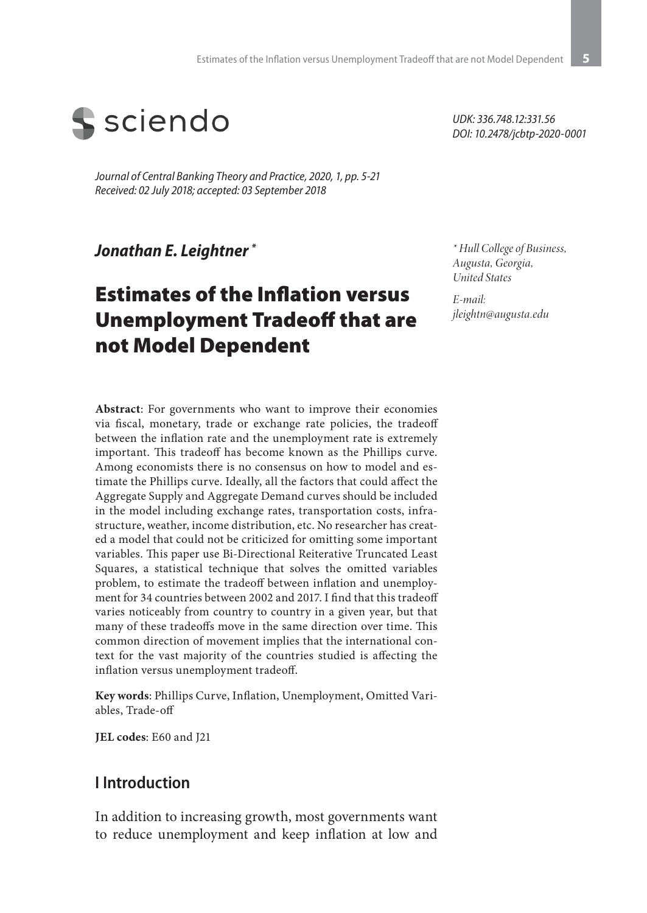

*Journal of Central Banking Theory and Practice, 2020, 1, pp. 5-21 Received: 02 July 2018; accepted: 03 September 2018*

### *Jonathan E. Leightner \**

# Estimates of the Inflation versus Unemployment Tradeoff that are not Model Dependent

**Abstract**: For governments who want to improve their economies via fiscal, monetary, trade or exchange rate policies, the tradeoff between the inflation rate and the unemployment rate is extremely important. This tradeoff has become known as the Phillips curve. Among economists there is no consensus on how to model and estimate the Phillips curve. Ideally, all the factors that could affect the Aggregate Supply and Aggregate Demand curves should be included in the model including exchange rates, transportation costs, infrastructure, weather, income distribution, etc. No researcher has created a model that could not be criticized for omitting some important variables. This paper use Bi-Directional Reiterative Truncated Least Squares, a statistical technique that solves the omitted variables problem, to estimate the tradeoff between inflation and unemployment for 34 countries between 2002 and 2017. I find that this tradeoff varies noticeably from country to country in a given year, but that many of these tradeoffs move in the same direction over time. This common direction of movement implies that the international context for the vast majority of the countries studied is affecting the inflation versus unemployment tradeoff.

**Key words**: Phillips Curve, Inflation, Unemployment, Omitted Variables, Trade-off

**JEL codes**: E60 and J21

#### **I Introduction**

In addition to increasing growth, most governments want to reduce unemployment and keep inflation at low and

*UDK: 336.748.12:331.56 DOI: 10.2478/jcbtp-2020-0001*

*\* Hull College of Business, Augusta, Georgia, United States*

*E-mail: jleightn@augusta.edu*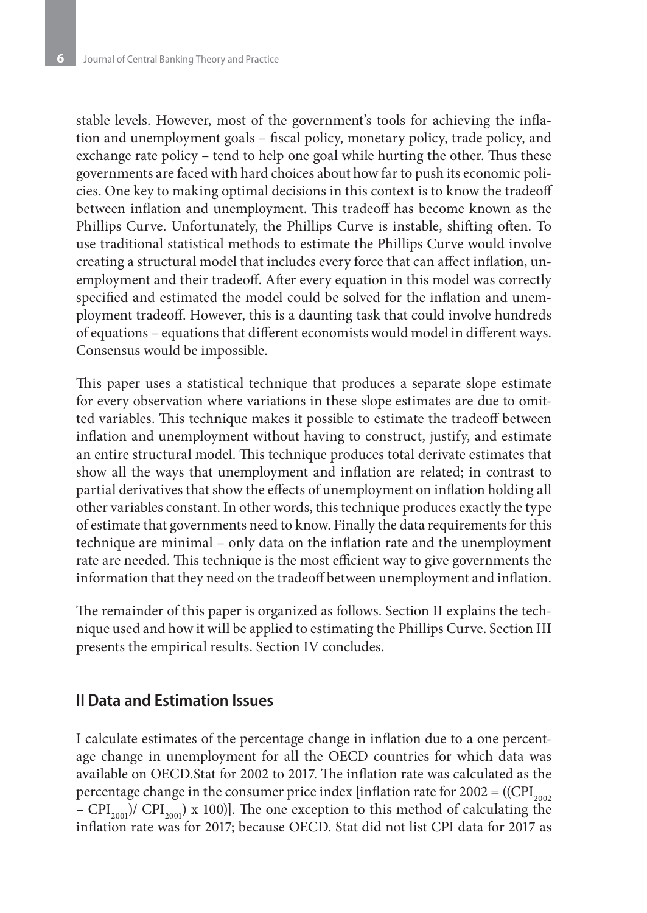stable levels. However, most of the government's tools for achieving the inflation and unemployment goals – fiscal policy, monetary policy, trade policy, and exchange rate policy – tend to help one goal while hurting the other. Thus these governments are faced with hard choices about how far to push its economic policies. One key to making optimal decisions in this context is to know the tradeoff between inflation and unemployment. This tradeoff has become known as the Phillips Curve. Unfortunately, the Phillips Curve is instable, shifting often. To use traditional statistical methods to estimate the Phillips Curve would involve creating a structural model that includes every force that can affect inflation, unemployment and their tradeoff. After every equation in this model was correctly specified and estimated the model could be solved for the inflation and unemployment tradeoff. However, this is a daunting task that could involve hundreds of equations – equations that different economists would model in different ways. Consensus would be impossible.

This paper uses a statistical technique that produces a separate slope estimate for every observation where variations in these slope estimates are due to omitted variables. This technique makes it possible to estimate the tradeoff between inflation and unemployment without having to construct, justify, and estimate an entire structural model. This technique produces total derivate estimates that show all the ways that unemployment and inflation are related; in contrast to partial derivatives that show the effects of unemployment on inflation holding all other variables constant. In other words, this technique produces exactly the type of estimate that governments need to know. Finally the data requirements for this technique are minimal – only data on the inflation rate and the unemployment rate are needed. This technique is the most efficient way to give governments the information that they need on the tradeoff between unemployment and inflation.

The remainder of this paper is organized as follows. Section II explains the technique used and how it will be applied to estimating the Phillips Curve. Section III presents the empirical results. Section IV concludes.

#### **II Data and Estimation Issues**

I calculate estimates of the percentage change in inflation due to a one percentage change in unemployment for all the OECD countries for which data was available on OECD.Stat for 2002 to 2017. The inflation rate was calculated as the percentage change in the consumer price index [inflation rate for  $2002 = ((CPI_{2002})$ – CPI<sub>2001</sub>)/ CPI<sub>2001</sub>) x 100)]. The one exception to this method of calculating the inflation rate was for 2017; because OECD. Stat did not list CPI data for 2017 as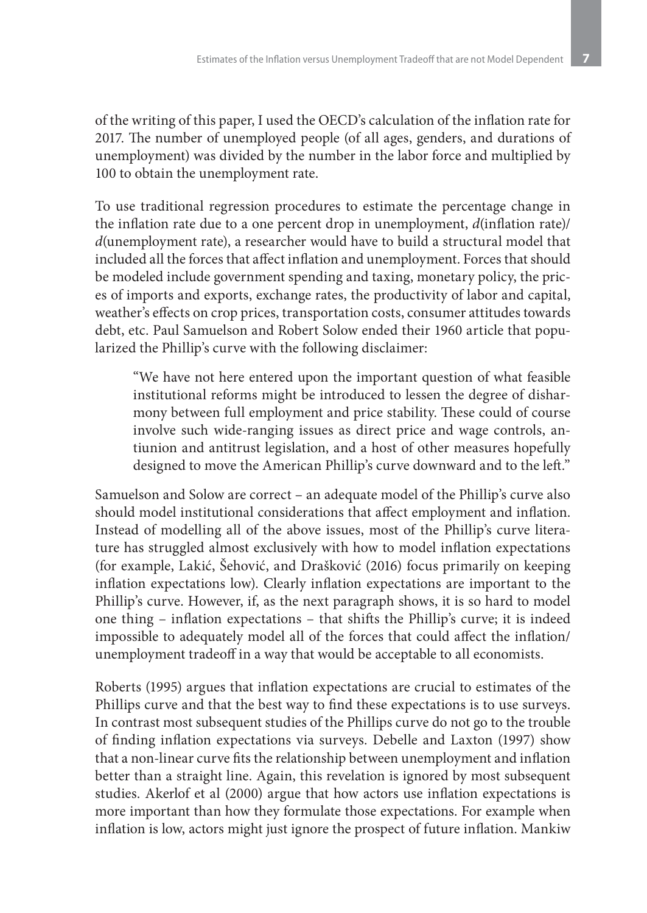of the writing of this paper, I used the OECD's calculation of the inflation rate for 2017. The number of unemployed people (of all ages, genders, and durations of unemployment) was divided by the number in the labor force and multiplied by 100 to obtain the unemployment rate.

To use traditional regression procedures to estimate the percentage change in the inflation rate due to a one percent drop in unemployment, *d*(inflation rate)/ *d*(unemployment rate), a researcher would have to build a structural model that included all the forces that affect inflation and unemployment. Forces that should be modeled include government spending and taxing, monetary policy, the prices of imports and exports, exchange rates, the productivity of labor and capital, weather's effects on crop prices, transportation costs, consumer attitudes towards debt, etc. Paul Samuelson and Robert Solow ended their 1960 article that popularized the Phillip's curve with the following disclaimer:

"We have not here entered upon the important question of what feasible institutional reforms might be introduced to lessen the degree of disharmony between full employment and price stability. These could of course involve such wide-ranging issues as direct price and wage controls, antiunion and antitrust legislation, and a host of other measures hopefully designed to move the American Phillip's curve downward and to the left."

Samuelson and Solow are correct – an adequate model of the Phillip's curve also should model institutional considerations that affect employment and inflation. Instead of modelling all of the above issues, most of the Phillip's curve literature has struggled almost exclusively with how to model inflation expectations (for example, Lakić, Šehović, and Drašković (2016) focus primarily on keeping inflation expectations low). Clearly inflation expectations are important to the Phillip's curve. However, if, as the next paragraph shows, it is so hard to model one thing – inflation expectations – that shifts the Phillip's curve; it is indeed impossible to adequately model all of the forces that could affect the inflation/ unemployment tradeoff in a way that would be acceptable to all economists.

Roberts (1995) argues that inflation expectations are crucial to estimates of the Phillips curve and that the best way to find these expectations is to use surveys. In contrast most subsequent studies of the Phillips curve do not go to the trouble of finding inflation expectations via surveys. Debelle and Laxton (1997) show that a non-linear curve fits the relationship between unemployment and inflation better than a straight line. Again, this revelation is ignored by most subsequent studies. Akerlof et al (2000) argue that how actors use inflation expectations is more important than how they formulate those expectations. For example when inflation is low, actors might just ignore the prospect of future inflation. Mankiw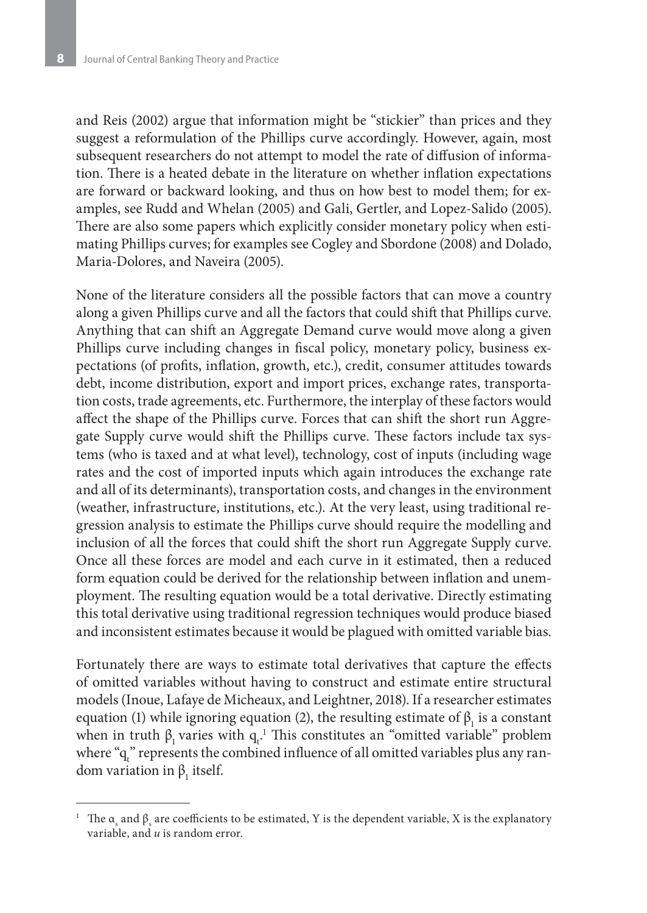and Reis (2002) argue that information might be "stickier" than prices and they suggest a reformulation of the Phillips curve accordingly. However, again, most subsequent researchers do not attempt to model the rate of diffusion of information. There is a heated debate in the literature on whether inflation expectations are forward or backward looking, and thus on how best to model them; for examples, see Rudd and Whelan (2005) and Gali, Gertler, and Lopez-Salido (2005). There are also some papers which explicitly consider monetary policy when estimating Phillips curves; for examples see Cogley and Sbordone (2008) and Dolado, Maria-Dolores, and Naveira (2005).

None of the literature considers all the possible factors that can move a country along a given Phillips curve and all the factors that could shift that Phillips curve. Anything that can shift an Aggregate Demand curve would move along a given Phillips curve including changes in fiscal policy, monetary policy, business expectations (of profits, inflation, growth, etc.), credit, consumer attitudes towards debt, income distribution, export and import prices, exchange rates, transportation costs, trade agreements, etc. Furthermore, the interplay of these factors would affect the shape of the Phillips curve. Forces that can shift the short run Aggregate Supply curve would shift the Phillips curve. These factors include tax systems (who is taxed and at what level), technology, cost of inputs (including wage rates and the cost of imported inputs which again introduces the exchange rate and all of its determinants), transportation costs, and changes in the environment (weather, infrastructure, institutions, etc.). At the very least, using traditional regression analysis to estimate the Phillips curve should require the modelling and inclusion of all the forces that could shift the short run Aggregate Supply curve. Once all these forces are model and each curve in it estimated, then a reduced form equation could be derived for the relationship between inflation and unemployment. The resulting equation would be a total derivative. Directly estimating this total derivative using traditional regression techniques would produce biased and inconsistent estimates because it would be plagued with omitted variable bias.

Fortunately there are ways to estimate total derivatives that capture the effects of omitted variables without having to construct and estimate entire structural models (Inoue, Lafaye de Micheaux, and Leightner, 2018). If a researcher estimates equation (1) while ignoring equation (2), the resulting estimate of  $β_1$  is a constant when in truth  $β_1$  varies with  $q_t$ .<sup>1</sup> This constitutes an "omitted variable" problem where " $q_t$ " represents the combined influence of all omitted variables plus any random variation in  $\beta_1$  itself.

<sup>&</sup>lt;sup>1</sup> The  $\alpha_s$  and  $\beta_s$  are coefficients to be estimated, Y is the dependent variable, X is the explanatory variable, and *u* is random error.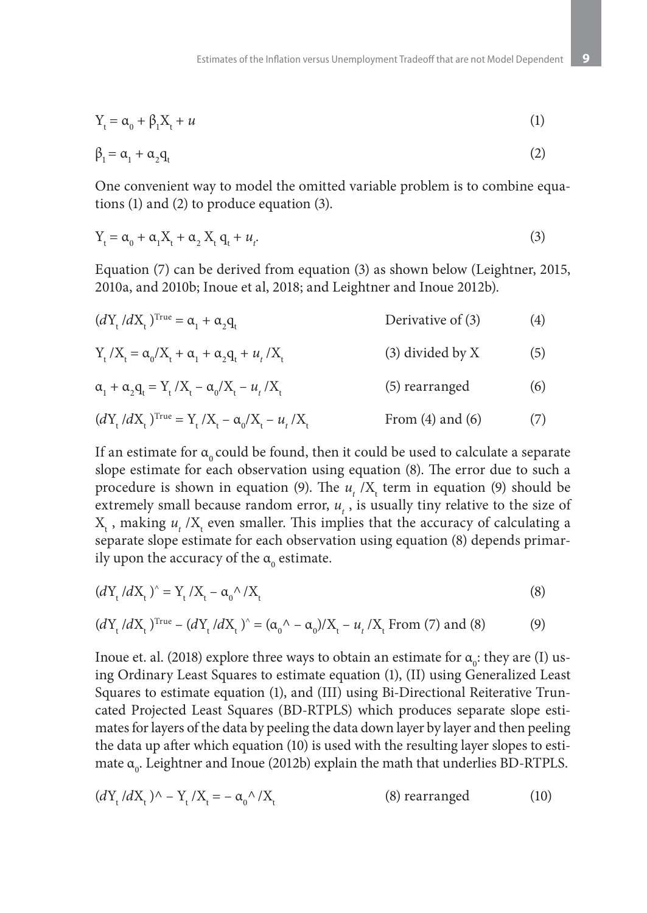$$
Y_t = \alpha_0 + \beta_1 X_t + u \tag{1}
$$

$$
\beta_1 = \alpha_1 + \alpha_2 q_t \tag{2}
$$

One convenient way to model the omitted variable problem is to combine equations (1) and (2) to produce equation (3).

$$
Y_t = \alpha_0 + \alpha_1 X_t + \alpha_2 X_t q_t + u_t. \tag{3}
$$

Equation (7) can be derived from equation (3) as shown below (Leightner, 2015, 2010a, and 2010b; Inoue et al, 2018; and Leightner and Inoue 2012b).

$$
(d_{t_i}/d_{t_i})^{\text{True}} = \alpha_1 + \alpha_2 q_t \qquad \qquad \text{Derivative of (3)} \tag{4}
$$

$$
Y_{t}/X_{t} = \alpha_{0}/X_{t} + \alpha_{1} + \alpha_{2}q_{t} + u_{t}/X_{t}
$$
 (3) divided by X (5)

$$
\alpha_1 + \alpha_2 \mathbf{q}_t = \mathbf{Y}_t / \mathbf{X}_t - \alpha_0 / \mathbf{X}_t - \mathbf{u}_t / \mathbf{X}_t \tag{5} \text{ rearranged}
$$

$$
(dY_{t}/dX_{t})^{\text{True}} = Y_{t}/X_{t} - \alpha_{0}/X_{t} - u_{t}/X_{t}
$$
 From (4) and (6) (7)

If an estimate for  $\alpha_0$  could be found, then it could be used to calculate a separate slope estimate for each observation using equation (8). The error due to such a procedure is shown in equation (9). The  $u_t$  /X<sub>t</sub> term in equation (9) should be extremely small because random error,  $u_t$ , is usually tiny relative to the size of  $X_{t}$ , making  $u_{t}$  /X<sub>t</sub> even smaller. This implies that the accuracy of calculating a separate slope estimate for each observation using equation (8) depends primarily upon the accuracy of the  $\alpha_{0}$  estimate.

$$
(dY_t/dX_t)^{\hat{ }} = Y_t/X_t - \alpha_0^{\hat{ }}/X_t \tag{8}
$$

$$
(d_{t}^{N} / d_{t}^{N})^{\text{True}} - (d_{t}^{N} / d_{t}^{N})^{\wedge} = (\alpha_{0}^{N} - \alpha_{0}^{N}) / X_{t} - u_{t}^{N} / X_{t} \text{ From (7) and (8)}
$$
 (9)

Inoue et. al. (2018) explore three ways to obtain an estimate for  $\alpha_{0}$ : they are (I) using Ordinary Least Squares to estimate equation (1), (II) using Generalized Least Squares to estimate equation (1), and (III) using Bi-Directional Reiterative Truncated Projected Least Squares (BD-RTPLS) which produces separate slope estimates for layers of the data by peeling the data down layer by layer and then peeling the data up after which equation (10) is used with the resulting layer slopes to estimate  $\alpha_{_0}$ . Leightner and Inoue (2012b) explain the math that underlies BD-RTPLS.

$$
(dYt/dXt)^{\wedge} - Yt/Xt = -\alpha_0^{\wedge}/Xt
$$
 (8) rearranged (10)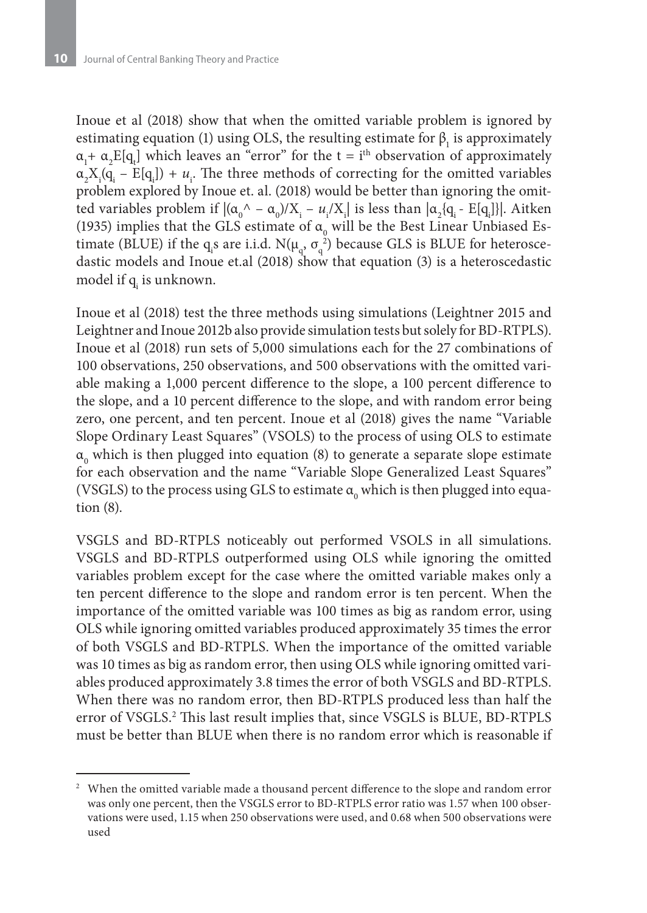Inoue et al (2018) show that when the omitted variable problem is ignored by estimating equation (1) using OLS, the resulting estimate for  $\beta_1$  is approximately  $\alpha_1 + \alpha_2 E[q_t]$  which leaves an "error" for the t = i<sup>th</sup> observation of approximately  $\alpha_2 X_i(q_i - E[q_i]) + u_i$ . The three methods of correcting for the omitted variables problem explored by Inoue et. al. (2018) would be better than ignoring the omitted variables problem if  $|(\alpha_0' - \alpha_0)/X_i - u_i/X_i|$  is less than  $|\alpha_2 \{q_i - E[q_i]\}|$ . Aitken (1935) implies that the GLS estimate of  $\alpha_{0}$  will be the Best Linear Unbiased Estimate (BLUE) if the q<sub>i</sub>s are i.i.d.  $N(\mu_q, \sigma_q^2)$  because GLS is BLUE for heteroscedastic models and Inoue et.al (2018) show that equation (3) is a heteroscedastic model if q<sub>i</sub> is unknown.

Inoue et al (2018) test the three methods using simulations (Leightner 2015 and Leightner and Inoue 2012b also provide simulation tests but solely for BD-RTPLS). Inoue et al (2018) run sets of 5,000 simulations each for the 27 combinations of 100 observations, 250 observations, and 500 observations with the omitted variable making a 1,000 percent difference to the slope, a 100 percent difference to the slope, and a 10 percent difference to the slope, and with random error being zero, one percent, and ten percent. Inoue et al (2018) gives the name "Variable Slope Ordinary Least Squares" (VSOLS) to the process of using OLS to estimate  $\alpha_{_0}$  which is then plugged into equation (8) to generate a separate slope estimate for each observation and the name "Variable Slope Generalized Least Squares" (VSGLS) to the process using GLS to estimate  $\mathfrak{a}_{{}_{0}}$  which is then plugged into equation (8).

VSGLS and BD-RTPLS noticeably out performed VSOLS in all simulations. VSGLS and BD-RTPLS outperformed using OLS while ignoring the omitted variables problem except for the case where the omitted variable makes only a ten percent difference to the slope and random error is ten percent. When the importance of the omitted variable was 100 times as big as random error, using OLS while ignoring omitted variables produced approximately 35 times the error of both VSGLS and BD-RTPLS. When the importance of the omitted variable was 10 times as big as random error, then using OLS while ignoring omitted variables produced approximately 3.8 times the error of both VSGLS and BD-RTPLS. When there was no random error, then BD-RTPLS produced less than half the error of VSGLS.2 This last result implies that, since VSGLS is BLUE, BD-RTPLS must be better than BLUE when there is no random error which is reasonable if

<sup>&</sup>lt;sup>2</sup> When the omitted variable made a thousand percent difference to the slope and random error was only one percent, then the VSGLS error to BD-RTPLS error ratio was 1.57 when 100 observations were used, 1.15 when 250 observations were used, and 0.68 when 500 observations were used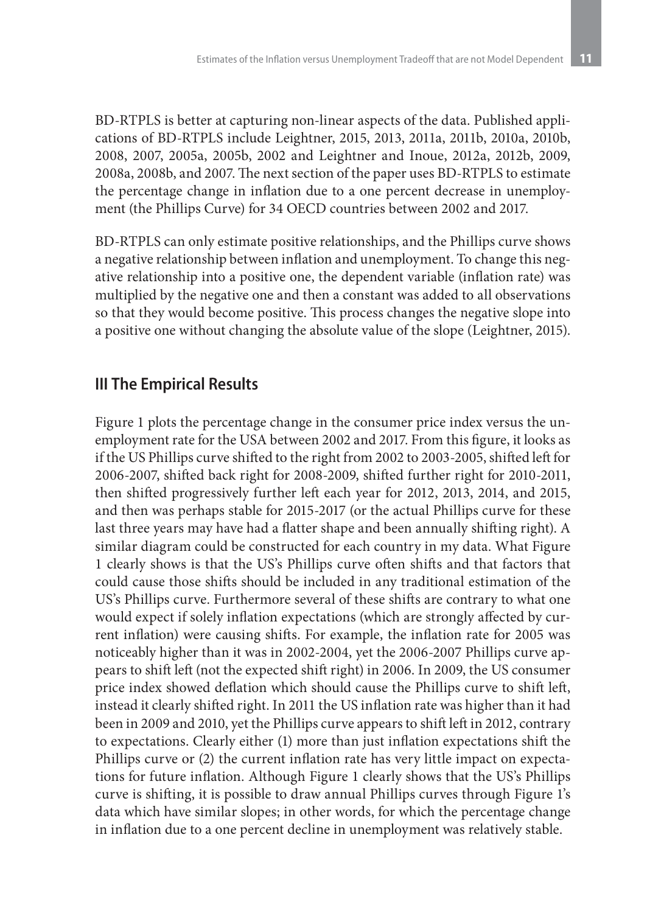BD-RTPLS is better at capturing non-linear aspects of the data. Published applications of BD-RTPLS include Leightner, 2015, 2013, 2011a, 2011b, 2010a, 2010b, 2008, 2007, 2005a, 2005b, 2002 and Leightner and Inoue, 2012a, 2012b, 2009, 2008a, 2008b, and 2007. The next section of the paper uses BD-RTPLS to estimate the percentage change in inflation due to a one percent decrease in unemployment (the Phillips Curve) for 34 OECD countries between 2002 and 2017.

BD-RTPLS can only estimate positive relationships, and the Phillips curve shows a negative relationship between inflation and unemployment. To change this negative relationship into a positive one, the dependent variable (inflation rate) was multiplied by the negative one and then a constant was added to all observations so that they would become positive. This process changes the negative slope into a positive one without changing the absolute value of the slope (Leightner, 2015).

## **III The Empirical Results**

Figure 1 plots the percentage change in the consumer price index versus the unemployment rate for the USA between 2002 and 2017. From this figure, it looks as if the US Phillips curve shifted to the right from 2002 to 2003-2005, shifted left for 2006-2007, shifted back right for 2008-2009, shifted further right for 2010-2011, then shifted progressively further left each year for 2012, 2013, 2014, and 2015, and then was perhaps stable for 2015-2017 (or the actual Phillips curve for these last three years may have had a flatter shape and been annually shifting right). A similar diagram could be constructed for each country in my data. What Figure 1 clearly shows is that the US's Phillips curve often shifts and that factors that could cause those shifts should be included in any traditional estimation of the US's Phillips curve. Furthermore several of these shifts are contrary to what one would expect if solely inflation expectations (which are strongly affected by current inflation) were causing shifts. For example, the inflation rate for 2005 was noticeably higher than it was in 2002-2004, yet the 2006-2007 Phillips curve appears to shift left (not the expected shift right) in 2006. In 2009, the US consumer price index showed deflation which should cause the Phillips curve to shift left, instead it clearly shifted right. In 2011 the US inflation rate was higher than it had been in 2009 and 2010, yet the Phillips curve appears to shift left in 2012, contrary to expectations. Clearly either (1) more than just inflation expectations shift the Phillips curve or (2) the current inflation rate has very little impact on expectations for future inflation. Although Figure 1 clearly shows that the US's Phillips curve is shifting, it is possible to draw annual Phillips curves through Figure 1's data which have similar slopes; in other words, for which the percentage change in inflation due to a one percent decline in unemployment was relatively stable.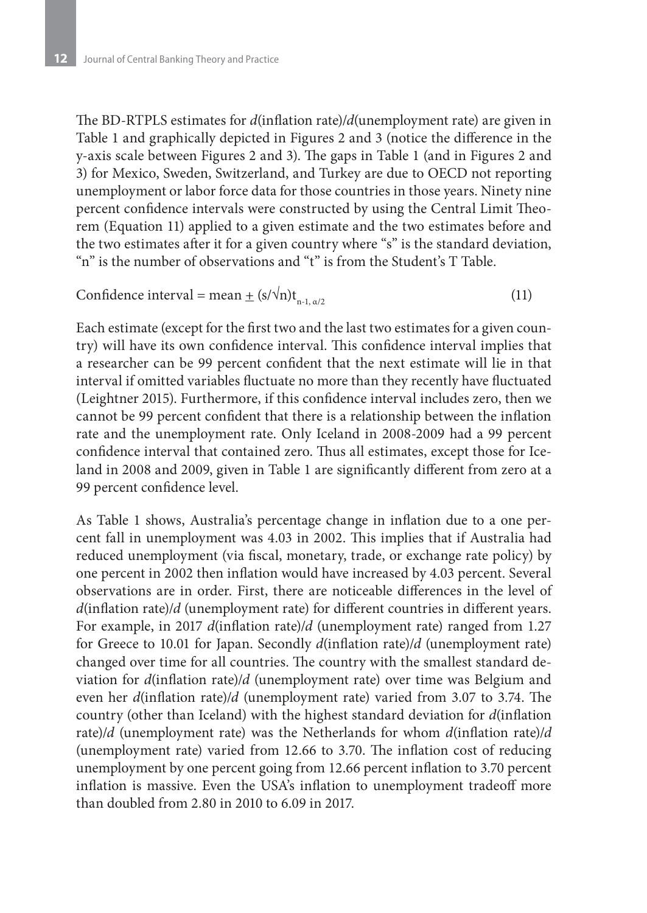The BD-RTPLS estimates for *d*(inflation rate)/*d*(unemployment rate) are given in Table 1 and graphically depicted in Figures 2 and 3 (notice the difference in the y-axis scale between Figures 2 and 3). The gaps in Table 1 (and in Figures 2 and 3) for Mexico, Sweden, Switzerland, and Turkey are due to OECD not reporting unemployment or labor force data for those countries in those years. Ninety nine percent confidence intervals were constructed by using the Central Limit Theorem (Equation 11) applied to a given estimate and the two estimates before and the two estimates after it for a given country where "s" is the standard deviation, "n" is the number of observations and "t" is from the Student's T Table.

Confidence interval = mean 
$$
\pm
$$
 (s/ $\sqrt{n}$ )t<sub>n-1, \alpha/2</sub> (11)

Each estimate (except for the first two and the last two estimates for a given country) will have its own confidence interval. This confidence interval implies that a researcher can be 99 percent confident that the next estimate will lie in that interval if omitted variables fluctuate no more than they recently have fluctuated (Leightner 2015). Furthermore, if this confidence interval includes zero, then we cannot be 99 percent confident that there is a relationship between the inflation rate and the unemployment rate. Only Iceland in 2008-2009 had a 99 percent confidence interval that contained zero. Thus all estimates, except those for Iceland in 2008 and 2009, given in Table 1 are significantly different from zero at a 99 percent confidence level.

As Table 1 shows, Australia's percentage change in inflation due to a one percent fall in unemployment was 4.03 in 2002. This implies that if Australia had reduced unemployment (via fiscal, monetary, trade, or exchange rate policy) by one percent in 2002 then inflation would have increased by 4.03 percent. Several observations are in order. First, there are noticeable differences in the level of *d*(inflation rate)/*d* (unemployment rate) for different countries in different years. For example, in 2017 *d*(inflation rate)/*d* (unemployment rate) ranged from 1.27 for Greece to 10.01 for Japan. Secondly *d*(inflation rate)/*d* (unemployment rate) changed over time for all countries. The country with the smallest standard deviation for *d*(inflation rate)/*d* (unemployment rate) over time was Belgium and even her *d*(inflation rate)/*d* (unemployment rate) varied from 3.07 to 3.74. The country (other than Iceland) with the highest standard deviation for *d*(inflation rate)/*d* (unemployment rate) was the Netherlands for whom *d*(inflation rate)/*d*  (unemployment rate) varied from 12.66 to 3.70. The inflation cost of reducing unemployment by one percent going from 12.66 percent inflation to 3.70 percent inflation is massive. Even the USA's inflation to unemployment tradeoff more than doubled from 2.80 in 2010 to 6.09 in 2017.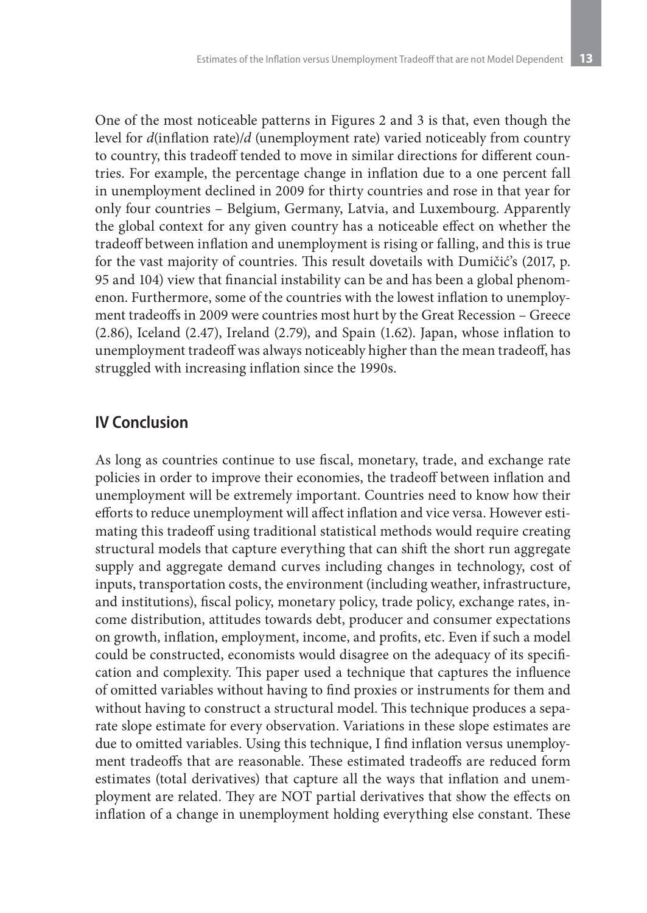One of the most noticeable patterns in Figures 2 and 3 is that, even though the level for *d*(inflation rate)/*d* (unemployment rate) varied noticeably from country to country, this tradeoff tended to move in similar directions for different countries. For example, the percentage change in inflation due to a one percent fall in unemployment declined in 2009 for thirty countries and rose in that year for only four countries – Belgium, Germany, Latvia, and Luxembourg. Apparently the global context for any given country has a noticeable effect on whether the tradeoff between inflation and unemployment is rising or falling, and this is true for the vast majority of countries. This result dovetails with Dumičić's (2017, p. 95 and 104) view that financial instability can be and has been a global phenomenon. Furthermore, some of the countries with the lowest inflation to unemployment tradeoffs in 2009 were countries most hurt by the Great Recession – Greece (2.86), Iceland (2.47), Ireland (2.79), and Spain (1.62). Japan, whose inflation to unemployment tradeoff was always noticeably higher than the mean tradeoff, has struggled with increasing inflation since the 1990s.

### **IV Conclusion**

As long as countries continue to use fiscal, monetary, trade, and exchange rate policies in order to improve their economies, the tradeoff between inflation and unemployment will be extremely important. Countries need to know how their efforts to reduce unemployment will affect inflation and vice versa. However estimating this tradeoff using traditional statistical methods would require creating structural models that capture everything that can shift the short run aggregate supply and aggregate demand curves including changes in technology, cost of inputs, transportation costs, the environment (including weather, infrastructure, and institutions), fiscal policy, monetary policy, trade policy, exchange rates, income distribution, attitudes towards debt, producer and consumer expectations on growth, inflation, employment, income, and profits, etc. Even if such a model could be constructed, economists would disagree on the adequacy of its specification and complexity. This paper used a technique that captures the influence of omitted variables without having to find proxies or instruments for them and without having to construct a structural model. This technique produces a separate slope estimate for every observation. Variations in these slope estimates are due to omitted variables. Using this technique, I find inflation versus unemployment tradeoffs that are reasonable. These estimated tradeoffs are reduced form estimates (total derivatives) that capture all the ways that inflation and unemployment are related. They are NOT partial derivatives that show the effects on inflation of a change in unemployment holding everything else constant. These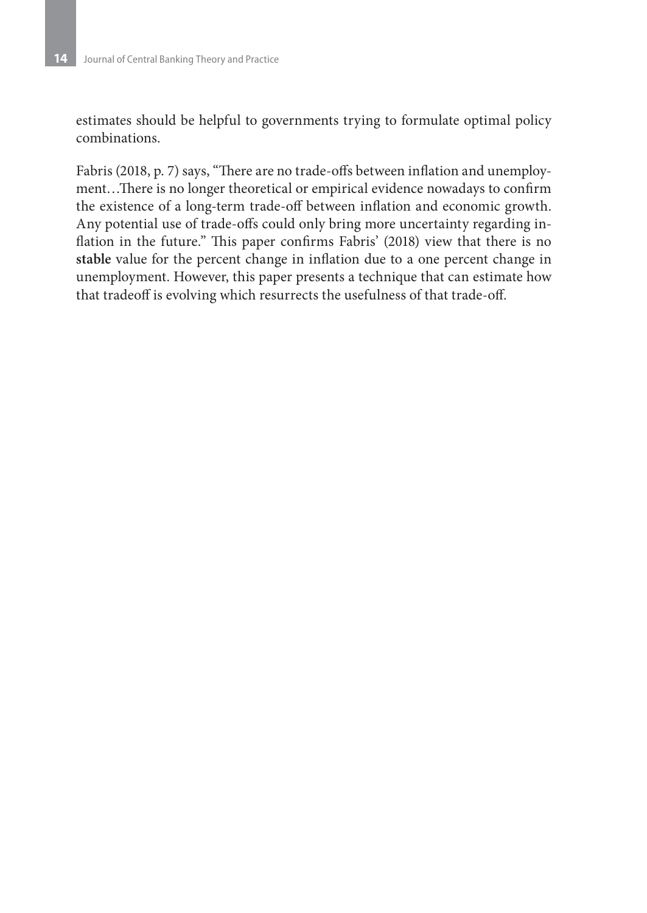estimates should be helpful to governments trying to formulate optimal policy combinations.

Fabris (2018, p. 7) says, "There are no trade-offs between inflation and unemployment…There is no longer theoretical or empirical evidence nowadays to confirm the existence of a long-term trade-off between inflation and economic growth. Any potential use of trade-offs could only bring more uncertainty regarding inflation in the future." This paper confirms Fabris' (2018) view that there is no **stable** value for the percent change in inflation due to a one percent change in unemployment. However, this paper presents a technique that can estimate how that tradeoff is evolving which resurrects the usefulness of that trade-off.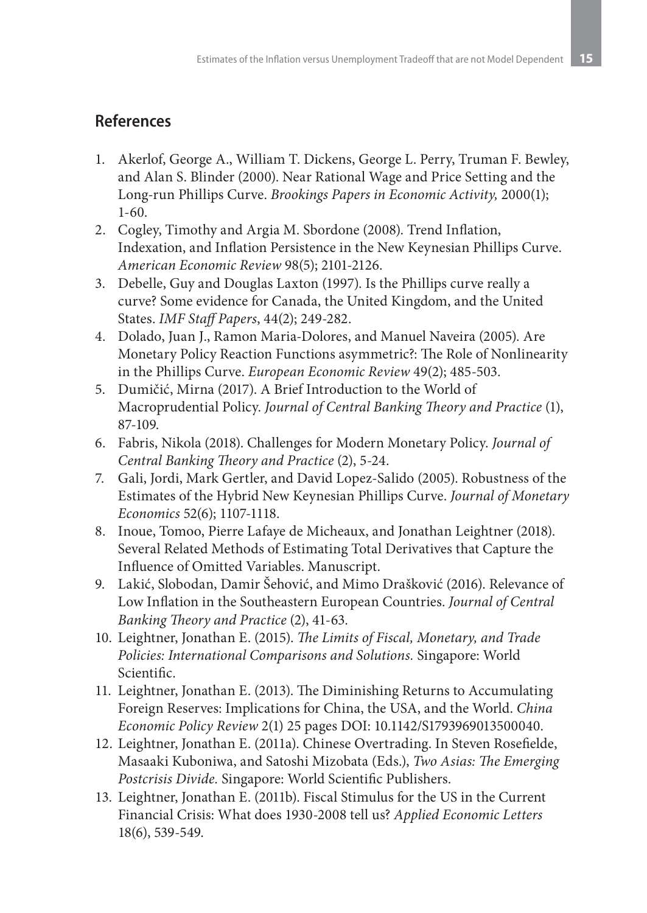# **References**

- 1. Akerlof, George A., William T. Dickens, George L. Perry, Truman F. Bewley, and Alan S. Blinder (2000). Near Rational Wage and Price Setting and the Long-run Phillips Curve. *Brookings Papers in Economic Activity,* 2000(1); 1-60.
- 2. Cogley, Timothy and Argia M. Sbordone (2008). Trend Inflation, Indexation, and Inflation Persistence in the New Keynesian Phillips Curve. *American Economic Review* 98(5); 2101-2126.
- 3. Debelle, Guy and Douglas Laxton (1997). Is the Phillips curve really a curve? Some evidence for Canada, the United Kingdom, and the United States. *IMF Staff Papers*, 44(2); 249-282.
- 4. Dolado, Juan J., Ramon Maria-Dolores, and Manuel Naveira (2005). Are Monetary Policy Reaction Functions asymmetric?: The Role of Nonlinearity in the Phillips Curve. *European Economic Review* 49(2); 485-503.
- 5. Dumičić, Mirna (2017). A Brief Introduction to the World of Macroprudential Policy. *Journal of Central Banking Theory and Practice* (1), 87-109.
- 6. Fabris, Nikola (2018). Challenges for Modern Monetary Policy. *Journal of Central Banking Theory and Practice* (2), 5-24.
- 7. Gali, Jordi, Mark Gertler, and David Lopez-Salido (2005). Robustness of the Estimates of the Hybrid New Keynesian Phillips Curve. *Journal of Monetary Economics* 52(6); 1107-1118.
- 8. Inoue, Tomoo, Pierre Lafaye de Micheaux, and Jonathan Leightner (2018). Several Related Methods of Estimating Total Derivatives that Capture the Influence of Omitted Variables. Manuscript.
- 9. Lakić, Slobodan, Damir Šehović, and Mimo Drašković (2016). Relevance of Low Inflation in the Southeastern European Countries. *Journal of Central Banking Theory and Practice* (2), 41-63.
- 10. Leightner, Jonathan E. (2015). *The Limits of Fiscal, Monetary, and Trade Policies: International Comparisons and Solutions.* Singapore: World Scientific.
- 11. Leightner, Jonathan E. (2013). The Diminishing Returns to Accumulating Foreign Reserves: Implications for China, the USA, and the World. *China Economic Policy Review* 2(1) 25 pages DOI: 10.1142/S1793969013500040.
- 12. Leightner, Jonathan E. (2011a). Chinese Overtrading. In Steven Rosefielde, Masaaki Kuboniwa, and Satoshi Mizobata (Eds.), *Two Asias: The Emerging Postcrisis Divide.* Singapore: World Scientific Publishers.
- 13. Leightner, Jonathan E. (2011b). Fiscal Stimulus for the US in the Current Financial Crisis: What does 1930-2008 tell us? *Applied Economic Letters*  18(6), 539-549.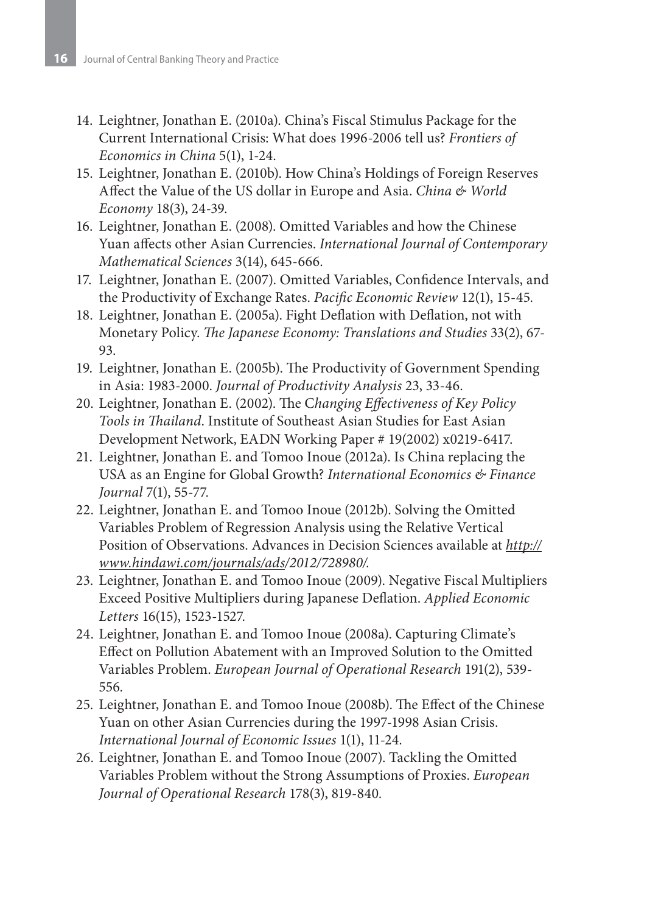- 14. Leightner, Jonathan E. (2010a). China's Fiscal Stimulus Package for the Current International Crisis: What does 1996-2006 tell us? *Frontiers of Economics in China* 5(1), 1-24.
- 15. Leightner, Jonathan E. (2010b). How China's Holdings of Foreign Reserves Affect the Value of the US dollar in Europe and Asia. *China & World Economy* 18(3), 24-39.
- 16. Leightner, Jonathan E. (2008). Omitted Variables and how the Chinese Yuan affects other Asian Currencies. *International Journal of Contemporary Mathematical Sciences* 3(14), 645-666.
- 17. Leightner, Jonathan E. (2007). Omitted Variables, Confidence Intervals, and the Productivity of Exchange Rates. *Pacific Economic Review* 12(1), 15-45*.*
- 18. Leightner, Jonathan E. (2005a). Fight Deflation with Deflation, not with Monetary Policy. *The Japanese Economy: Translations and Studies* 33(2), 67- 93.
- 19. Leightner, Jonathan E. (2005b). The Productivity of Government Spending in Asia: 1983-2000. *Journal of Productivity Analysis* 23, 33-46.
- 20. Leightner, Jonathan E. (2002). The C*hanging Effectiveness of Key Policy Tools in Thailand*. Institute of Southeast Asian Studies for East Asian Development Network, EADN Working Paper # 19(2002) x0219-6417.
- 21. Leightner, Jonathan E. and Tomoo Inoue (2012a). Is China replacing the USA as an Engine for Global Growth? *International Economics & Finance Journal* 7(1), 55-77*.*
- 22. Leightner, Jonathan E. and Tomoo Inoue (2012b). Solving the Omitted Variables Problem of Regression Analysis using the Relative Vertical Position of Observations. Advances in Decision Sciences available at *http:// www.hindawi.com/journals/ads/2012/728980/.*
- 23. Leightner, Jonathan E. and Tomoo Inoue (2009). Negative Fiscal Multipliers Exceed Positive Multipliers during Japanese Deflation. *Applied Economic Letters* 16(15), 1523-1527*.*
- 24. Leightner, Jonathan E. and Tomoo Inoue (2008a). Capturing Climate's Effect on Pollution Abatement with an Improved Solution to the Omitted Variables Problem. *European Journal of Operational Research* 191(2), 539- 556*.*
- 25. Leightner, Jonathan E. and Tomoo Inoue (2008b). The Effect of the Chinese Yuan on other Asian Currencies during the 1997-1998 Asian Crisis. *International Journal of Economic Issues* 1(1), 11-24*.*
- 26. Leightner, Jonathan E. and Tomoo Inoue (2007). Tackling the Omitted Variables Problem without the Strong Assumptions of Proxies. *European Journal of Operational Research* 178(3), 819-840*.*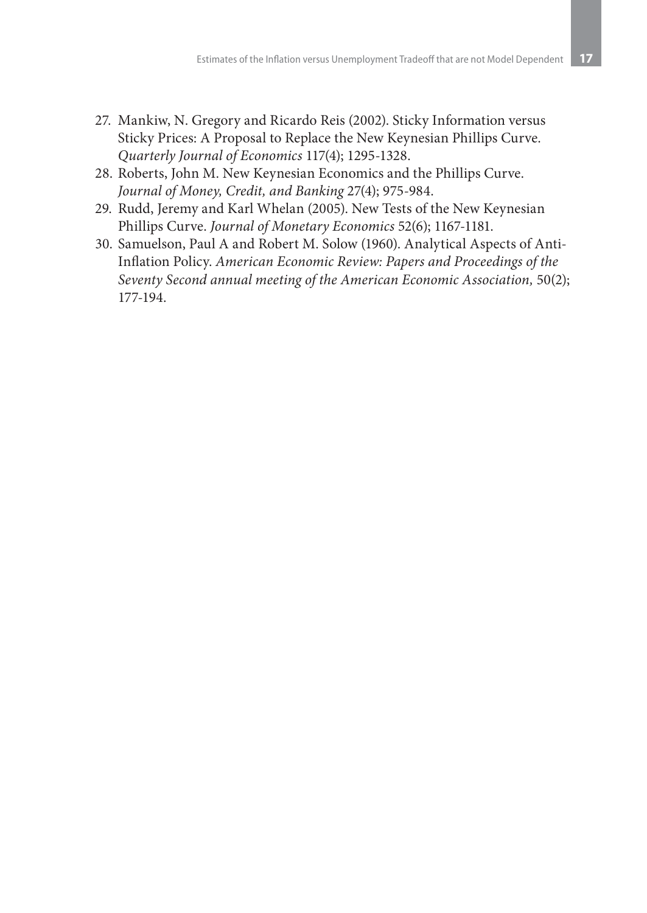- 27. Mankiw, N. Gregory and Ricardo Reis (2002). Sticky Information versus Sticky Prices: A Proposal to Replace the New Keynesian Phillips Curve. *Quarterly Journal of Economics* 117(4); 1295-1328.
- 28. Roberts, John M. New Keynesian Economics and the Phillips Curve. *Journal of Money, Credit, and Banking* 27(4); 975-984.
- 29. Rudd, Jeremy and Karl Whelan (2005). New Tests of the New Keynesian Phillips Curve. *Journal of Monetary Economics* 52(6); 1167-1181.
- 30. Samuelson, Paul A and Robert M. Solow (1960). Analytical Aspects of Anti-Inflation Policy. *American Economic Review: Papers and Proceedings of the Seventy Second annual meeting of the American Economic Association,* 50(2); 177-194.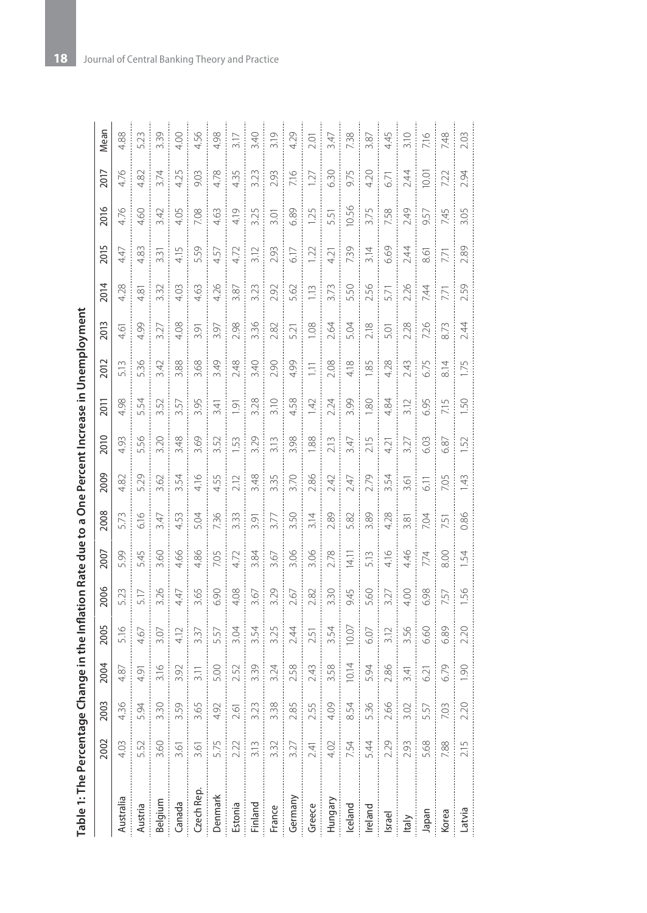| $\vdots$           |  |
|--------------------|--|
|                    |  |
|                    |  |
|                    |  |
|                    |  |
|                    |  |
|                    |  |
|                    |  |
|                    |  |
|                    |  |
|                    |  |
|                    |  |
| ١                  |  |
| i                  |  |
|                    |  |
| ;<br>;<br>ļ        |  |
|                    |  |
| j                  |  |
|                    |  |
| $\frac{e}{\Omega}$ |  |

| Table 1: The Percentage |                                                        |                           |       |      |           | Change in the Inflation Rate due to a One Percent Increase in Unemployment |      |      |      |                    |       |           |           |      |       |           |      |
|-------------------------|--------------------------------------------------------|---------------------------|-------|------|-----------|----------------------------------------------------------------------------|------|------|------|--------------------|-------|-----------|-----------|------|-------|-----------|------|
|                         | 2002                                                   | 1003                      | 2004  | 2005 | 2006      | 2007                                                                       | 2008 | 2009 | 2010 | 2011               | 2012  | 2013      | 2014      | 2015 | 2016  | 2017      | Mean |
| Australia               | 4.03                                                   | 36                        | 4.87  | 5.16 | 5.23      | 5.99                                                                       | 5.73 | 8    | 4.93 | 4.98               | 5.13  | 4.61      | 4.28      | 4.47 | 4.76  | 4.76      | 4.88 |
| Austria                 | 5.52                                                   | $\overline{5}$            | 4.91  | 4.67 | 5.17      | 5.45                                                                       | 6.16 | 5.29 | 5.56 | 5.54               | 5.36  | 4.99      | 4.81      | 4.83 | 4.60  | 4.82      | 5.23 |
| Belgium                 | 3.60                                                   | $\widetilde{\mathcal{E}}$ | 3.16  | 3.07 | 3.26      | 3.60                                                                       | 3.47 | 3.62 | 3.20 | 3.52               | 3.42  | 3.27      | 3.32      | 3.31 | 3.42  | 3.74      | 3.39 |
| Canada                  | 3.61                                                   | 59                        | 3.92  | 4.12 | 4.47      | 4.66                                                                       | 4.53 | 3.54 | 3.48 | 3.57               | 3.88  | 4.08      | 4.03      | 4.15 | 4.05  | 4.25      | 4.00 |
| Czech Rep.              | 3.61                                                   | 65                        | 3.11  | 3.37 | 3.65      | 4.86                                                                       | 5.04 | 4.16 | 3.69 | 3.95               | 3.68  | 3.91      | 4.63      | 5.59 | 7.08  | 9.03      | 4.56 |
| Denmark                 |                                                        | 192                       | 5.00  | 5.57 | 6.90      | 7.05                                                                       | 7.36 | 4.55 | 3.52 | 3.41               | 3.49  | 3.97      | 4.26      | 4.57 | 4.63  | 4.78      | 4.98 |
| Estonia                 | 5.75<br>ŧ                                              | $\overline{\circ}$        | 2.52  | 3.04 | 4.08      | 4.72                                                                       | 3.33 | 2.12 | 53   | $\overline{\circ}$ | 2.48  | 2.98      | 3.87      | 4.72 | 4.19  | 4.35      | 3.17 |
| <b>Finland</b>          | 3.13                                                   | 3.23                      | 3.39  | 3.54 | 3.67      | 3.84                                                                       | 3.91 | 3.48 | 3.29 | 3.28               | 3.40  | 3.36      | 3.23      | 3.12 | 3.25  | 3.23      | 3.40 |
| France                  | $\begin{array}{ c } \hline 3.32 \\ \hline \end{array}$ | 3.38                      | 3.24  | 3.25 | 3.29      | 3.67                                                                       | 3.77 | 3.35 | 3.13 | 3.10               | 2.90  | 2.82      | 2.92      | 2.93 | 3.01  | 2.93      | 3.19 |
| Germany                 | $3.27$<br>$2.41$                                       | .85                       | 2.58  | 2.44 | 2.67      | 3.06                                                                       | 3.50 | 3.70 | 3.98 | 4.58               | 4.99  | 5.21      | 5.62      | 6.17 | 6.89  | 7.16      | 4.29 |
| Greece                  |                                                        | 2.55                      | 2.43  | 2.51 | 2.82      | 3.06                                                                       | 3.14 | 2.86 | 1.88 | 1.42               | $\Xi$ | 1.08      | 1.13      | 1.22 | 1.25  | 1.27      | 2.01 |
| Hungary                 | 4.02                                                   | 4.09                      | 3.58  | 3.54 | 3.30      | 2.78                                                                       | 2.89 | 2.42 | 2.13 | 2.24               | 2.08  | 2.64      | 3.73      | 4.21 | 5.51  | 6.30      | 3.47 |
| Iceland                 | 7.54<br>Î                                              | 54                        | 10.14 | 0.07 | 9.45<br>ł | 14.11                                                                      | 5.82 | 2.47 | 3.47 | 3.99               | 4.18  | 5.04<br>ł | 5.50<br>ł | 7.39 | 10.56 | 9.75<br>j | 7.38 |
| Ireland                 | 5.44                                                   | 36                        | 5.94  | 6.07 | 5.60      | 5.13                                                                       | 3.89 | 2.79 | 2.15 | 1.80               | 1.85  | 2.18      | 2.56      | 3.14 | 3.75  | 4.20      | 3.87 |
| Israel                  | 2.29                                                   | 2.66                      | 2.86  | 3.12 | 3.27      | 4.16                                                                       | 4.28 | 3.54 | 4.21 | 4.84               | 4.28  | 5.01      | 5.71      | 6.69 | 7.58  | 6.71      | 4.45 |
| Italy                   | 2.93                                                   | S                         | 3.41  | 3.56 | 4.00      | 4.46                                                                       | 3.81 | 3.61 | 3.27 | 3.12               | 2.43  | 2.28      | 2.26      | 2.44 | 2.49  | 2.44      | 3.10 |
| Japan                   | 5.68                                                   | 57                        | 6.21  | 6.60 | 6.98      | 7.74                                                                       | 7.04 | 6.11 | 6.03 | 6.95               | 6.75  | 7.26      | 7.44      | 8.61 | 9.57  | 10.01     | 7.16 |
| Korea                   | 7.88                                                   | $\odot$                   | 6.79  | 6.89 | 7.57      | 8.00                                                                       | 7.51 | 7.05 | 6.87 | 7.15               | 8.14  | 8.73      | 7.71      | 7.71 | 7.45  | 7.22      | 748  |
| Latvia                  | 2.15                                                   | OC.                       | 1.90  | SÖ.  | 1.56      | .54                                                                        | 0.86 | 1.43 | 52   | 1.50               | 1.75  | 2.44      | 2.59      | 2.89 | 3.05  | 2.94      | 2.03 |
|                         |                                                        |                           |       |      |           |                                                                            |      |      |      |                    |       |           |           |      |       |           |      |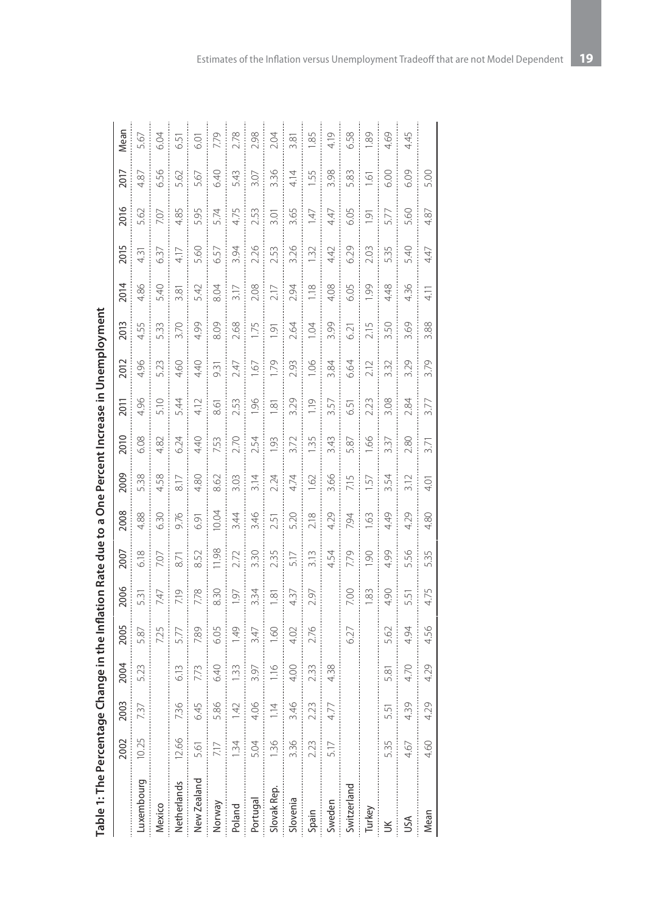| Table 1: The Percentage Change in the Inflation Rate due to a One Percent Increase in Unemployment |       |                           |                      |      |      |      |       |               |                 |                 |      |                |                      |      |                |                 |      |
|----------------------------------------------------------------------------------------------------|-------|---------------------------|----------------------|------|------|------|-------|---------------|-----------------|-----------------|------|----------------|----------------------|------|----------------|-----------------|------|
|                                                                                                    | 2002  | 2003                      | 2004                 | 2005 | 2006 | 2007 | 2008  | 2009          | 2010            | 2011            | 2012 | 2013           | 2014                 | 2015 | 2016           | 2017            | Mean |
| Luxembourg                                                                                         | 10.25 | 737                       | 5.23                 | 87   | 531  | 6.18 | 88    | 5.38          | 6.08            | 4.96            | 4.96 | .55            | 4.86                 | 4.31 | 5.62           | 8               | 5.67 |
| Mexico                                                                                             |       |                           |                      | 7.25 | 747  | 7.07 | 6.30  | 4.58          | 4.82            | 5.10            | 5.23 | 533            | 5.40                 | 6.37 | 7.07           | 6.56            | 6.04 |
| Netherlands                                                                                        | 12.66 | $\widetilde{\mathcal{E}}$ | 6.13                 | 5.77 | 7.19 | 8.71 | 9.76  | $\frac{1}{8}$ | 6.24            | 5.44            | 4.60 | 3.70           | $\widetilde{\infty}$ | 4.17 | 4.85           | 5.62            | 6.51 |
| New Zealand                                                                                        | 5.61  | 6.45                      | 7.73                 | 7.89 | 7.78 | 852  | 6.91  | 4.80          | 4.40            | 4.12            | 4.40 | 4.99           | 5.42                 | 5.60 | 5.95           | Ğ.              | 6.01 |
| Norway                                                                                             | 7.17  | 86                        | 6.40                 | 6.05 | 8.30 | 1.98 | 10.04 | 8.62          | 7.53            | 8.61            | 9.31 | 8.09           | 8.04                 | 6.57 | 5.74           | 6.40            | 7.79 |
| Poland                                                                                             | 1.34  | 42                        | 1.33                 | 1.49 | 1.97 | 2.72 | 3.44  | 3.03          | 2.70            | 2.53            | 2.47 | 2.68           | 3.17                 | 3.94 | 4.75           | 5.43            | 2.78 |
| Portugal                                                                                           | 5.04  | 4.06                      | 3.97                 | 3.47 | 3.34 | 3.30 | 3.46  | 3.14          | 2.54            | 1.96            | -67  | 1.75           | 2.08                 | 2.26 | 2.53           | 3.07            | 2.98 |
| Slovak Rep.                                                                                        | 1.36  | 1.14                      | 116                  | 1.60 | 1.81 | 2.35 | 2.51  | 2.24          | $\overline{93}$ | δņ              | 1.79 | $\overline{9}$ | 2.17                 | 2.53 | 3.01           | 3.36            | 2.04 |
| Slovenia                                                                                           | 3.36  | 3.46                      | 4.00                 | 4.02 | 4.37 | 5.17 | 5.20  | 4.74          | 3.72            | 3.29            | 2.93 | 2.64           | 2.94                 | 3.26 | 3.65           | 4.14            | 3.81 |
| Spain                                                                                              | 2.23  | 2.23                      | 2.33                 | 2.76 | 2.97 | 3.13 | 2.18  | 1.62          | 1.35            | $\frac{10}{10}$ | 1.06 | 1.04           | 1.18                 | 1.32 | 147            | 1.55            | 85   |
| Sweden                                                                                             | 5.17  | 4.77                      | 4.38                 |      |      | 4.54 | 4.29  | 3.66          | 3.43            | 3.57            | 3.84 | 3.99           | 4.08                 | 4.42 | 4.47           | 3.98            | 4.19 |
| Switzerland                                                                                        |       |                           |                      | 6.27 | 7.00 | 7.79 | 794   | 7.15          | 5.87            | 6.51            | 6.64 | 6.21           | 6.05                 | 6.29 | 6.05           | 5.83            | 6.58 |
| Turkey                                                                                             |       |                           |                      |      | 1.83 | S.   | 63    | 57            | 1.66            | 2.23            | 2.12 | 2.15           | 1.99                 | 2.03 | $\overline{9}$ | $\tilde{\circ}$ | 89.  |
| ŬК                                                                                                 | 5.35  | 5<br>5                    | $\widetilde{\infty}$ | S.   | 4.90 | 4.99 | 4.49  | 3.54          | 3.37            | 3.08            | 3.32 | 3.50           | 4.48                 | 5.35 | 5.77           | 6.00            | 4.69 |
| USA                                                                                                | 4.67  | 39                        | 4.70                 | 4.94 | 5.51 | 5.56 | 4.29  | 3.12          | 2.80            | 2.84            | 3.29 | 3.69           | 4.36                 | 5.40 | 5.60           | 6.09            | 4.45 |
| Mean                                                                                               | 4.60  | 4.29                      | 4.29                 | 4.56 | 4.75 | 5.35 | 4.80  | 4.01          | 3.71            | 3.77            | 3.79 | 3.88           | 41                   | 4.47 | 4.87           | 5.00            |      |

| - 23<br>3<br>3<br>3 |  |
|---------------------|--|
|                     |  |
|                     |  |
|                     |  |
|                     |  |
|                     |  |
|                     |  |
| $\frac{1}{2}$       |  |
|                     |  |
|                     |  |
|                     |  |
| $\frac{1}{2}$       |  |
|                     |  |
|                     |  |
|                     |  |
|                     |  |
|                     |  |
|                     |  |
|                     |  |
| ジニングション             |  |
|                     |  |
|                     |  |
|                     |  |
|                     |  |
|                     |  |
|                     |  |
|                     |  |
|                     |  |
|                     |  |
|                     |  |
|                     |  |
|                     |  |
|                     |  |
|                     |  |
|                     |  |
|                     |  |
|                     |  |
|                     |  |
|                     |  |
|                     |  |
|                     |  |
|                     |  |
|                     |  |
|                     |  |
|                     |  |
| ì                   |  |
|                     |  |
|                     |  |
|                     |  |
| ī                   |  |
|                     |  |
|                     |  |
| ١                   |  |
|                     |  |
|                     |  |
|                     |  |
|                     |  |
|                     |  |
|                     |  |
|                     |  |
| DN 13.5   J J J     |  |
|                     |  |
|                     |  |
| i                   |  |
|                     |  |
|                     |  |
|                     |  |
|                     |  |
|                     |  |
| Table 1:            |  |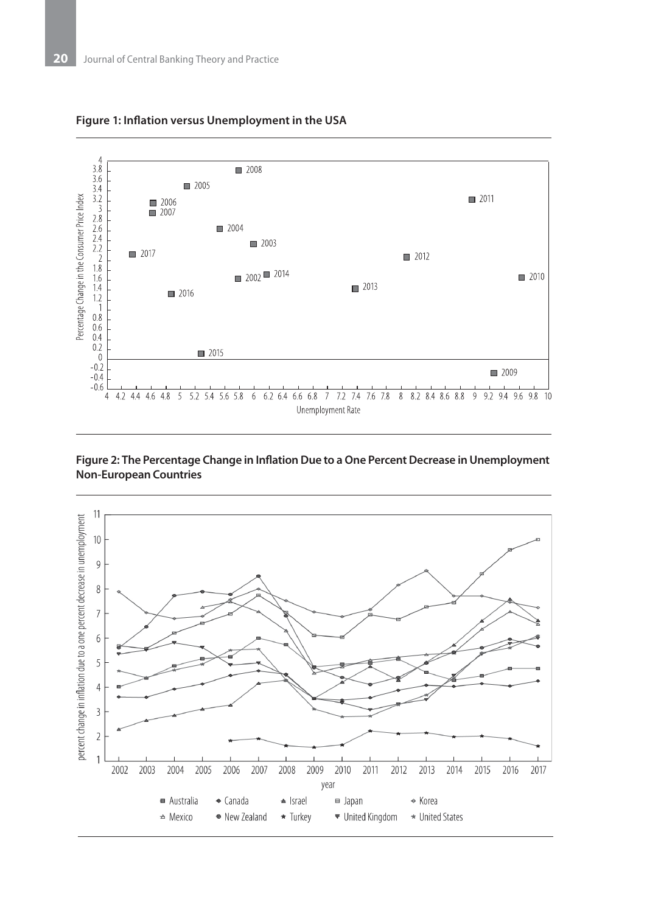

#### **Figure 1: Inflation versus Unemployment in the USA**

#### **Figure 2: The Percentage Change in Inflation Due to a One Percent Decrease in Unemployment Non-European Countries**